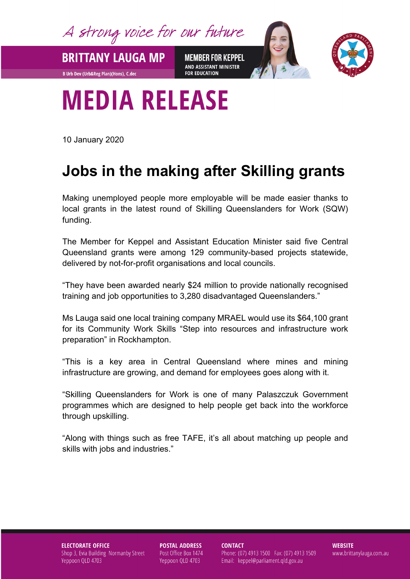A strong voice for our future

**BRITTANY LAUGA MP** 

**B Urb Dev (Urb&Reg Plan)(Hons), C.dec** 

**MEMBER FOR KEPPEL** AND ASSISTANT MINISTER **FOR EDUCATION** 



## **MEDIA RELEASE**

10 January 2020

## **Jobs in the making after Skilling grants**

Making unemployed people more employable will be made easier thanks to local grants in the latest round of Skilling Queenslanders for Work (SQW) funding.

The Member for Keppel and Assistant Education Minister said five Central Queensland grants were among 129 community-based projects statewide, delivered by not-for-profit organisations and local councils.

"They have been awarded nearly \$24 million to provide nationally recognised training and job opportunities to 3,280 disadvantaged Queenslanders."

Ms Lauga said one local training company MRAEL would use its \$64,100 grant for its Community Work Skills "Step into resources and infrastructure work preparation" in Rockhampton.

"This is a key area in Central Queensland where mines and mining infrastructure are growing, and demand for employees goes along with it.

"Skilling Queenslanders for Work is one of many Palaszczuk Government programmes which are designed to help people get back into the workforce through upskilling.

"Along with things such as free TAFE, it's all about matching up people and skills with jobs and industries."

**ELECTORATE OFFICE** Shop 3, Evia Building Normanby Street Yeppoon QLD 4703

**POSTAL ADDRESS** Post Office Box 1474 Yeppoon QLD 4703

**CONTACT** 

Phone: (07) 4913 1500 Fax: (07) 4913 1509 Email: keppel@parliament.qld.gov.au

**WEBSITE** www.brittanylauga.com.au